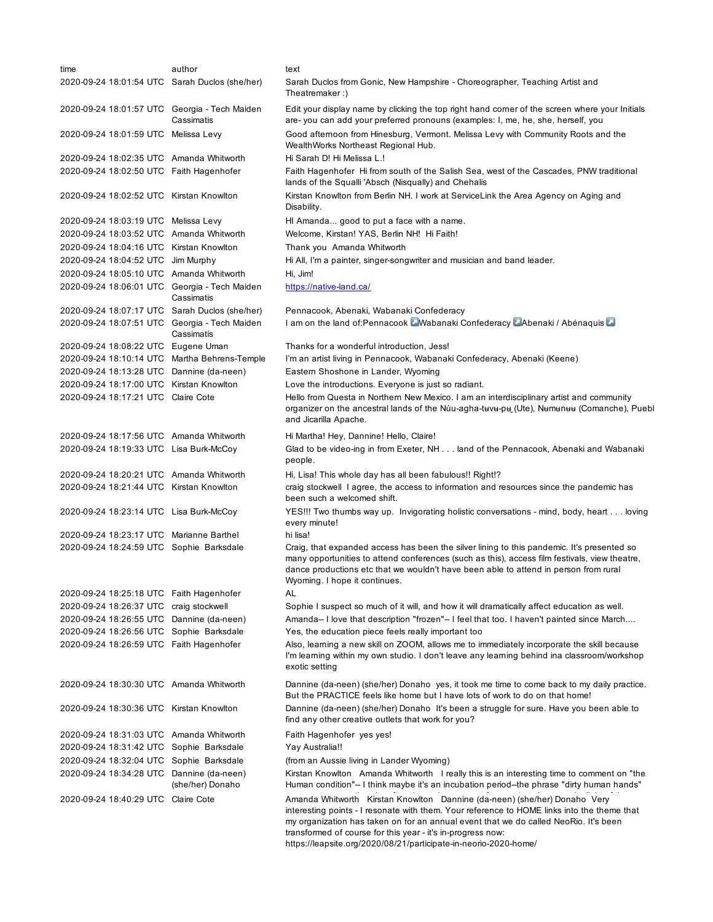| time                                           | author           | text                                                                                                                                                                                                                                                                                                                            |
|------------------------------------------------|------------------|---------------------------------------------------------------------------------------------------------------------------------------------------------------------------------------------------------------------------------------------------------------------------------------------------------------------------------|
| 2020-09-24 18:01:54 UTC Sarah Duclos (she/her) |                  | Sarah Duclos from Gonic, New Hampshire - Choreographer, Teaching Artist and<br>Theatremaker:)                                                                                                                                                                                                                                   |
| 2020-09-24 18:01:57 UTC Georgia - Tech Maiden  | Cassimatis       | Edit your display name by clicking the top right hand comer of the screen where your Initials<br>are- you can add your preferred pronouns (examples: I, me, he, she, herself, you                                                                                                                                               |
| 2020-09-24 18:01:59 UTC Melissa Levy           |                  | Good afternoon from Hinesburg, Vermont. Melissa Levy with Community Roots and the<br>WealthWorks Northeast Regional Hub.                                                                                                                                                                                                        |
| 2020-09-24 18:02:35 UTC Amanda Whitworth       |                  | Hi Sarah D! Hi Melissa L.!                                                                                                                                                                                                                                                                                                      |
| 2020-09-24 18:02:50 UTC Faith Hagenhofer       |                  | Faith Hagenhofer Hi from south of the Salish Sea, west of the Cascades, PNW traditional<br>lands of the Squalli 'Absch (Nisqually) and Chehalis                                                                                                                                                                                 |
| 2020-09-24 18:02:52 UTC Kirstan Knowlton       |                  | Kirstan Knowlton from Berlin NH. I work at ServiceLink the Area Agency on Aging and<br>Disability.                                                                                                                                                                                                                              |
| 2020-09-24 18:03:19 UTC Melissa Levy           |                  | HI Amanda good to put a face with a name.                                                                                                                                                                                                                                                                                       |
| 2020-09-24 18:03:52 UTC Amanda Whitworth       |                  | Welcome, Kirstan! YAS, Berlin NH! Hi Faith!                                                                                                                                                                                                                                                                                     |
| 2020-09-24 18:04:16 UTC Kirstan Knowlton       |                  | Thank you Amanda Whitworth                                                                                                                                                                                                                                                                                                      |
| 2020-09-24 18:04:52 UTC Jim Murphy             |                  | Hi All, I'm a painter, singer-songwriter and musician and band leader.                                                                                                                                                                                                                                                          |
| 2020-09-24 18:05:10 UTC Amanda Whitworth       |                  | Hi, Jim!                                                                                                                                                                                                                                                                                                                        |
| 2020-09-24 18:06:01 UTC Georgia - Tech Maiden  | Cassimatis       | https://native-land.ca/                                                                                                                                                                                                                                                                                                         |
| 2020-09-24 18:07:17 UTC Sarah Duclos (she/her) |                  | Pennacook, Abenaki, Wabanaki Confederacy                                                                                                                                                                                                                                                                                        |
| 2020-09-24 18:07:51 UTC Georgia - Tech Maiden  | Cassimatis       | I am on the land of: Pennacook Wabanaki Confederacy Abenaki / Abénaquis                                                                                                                                                                                                                                                         |
| 2020-09-24 18:08:22 UTC Eugene Uman            |                  | Thanks for a wonderful introduction, Jess!                                                                                                                                                                                                                                                                                      |
| 2020-09-24 18:10:14 UTC Martha Behrens-Temple  |                  | I'm an artist living in Pennacook, Wabanaki Confederacy, Abenaki (Keene)                                                                                                                                                                                                                                                        |
| 2020-09-24 18:13:28 UTC Dannine (da-neen)      |                  | Eastern Shoshone in Lander, Wyoming                                                                                                                                                                                                                                                                                             |
| 2020-09-24 18:17:00 UTC Kirstan Knowlton       |                  | Love the introductions. Everyone is just so radiant.                                                                                                                                                                                                                                                                            |
| 2020-09-24 18:17:21 UTC Claire Cote            |                  | Hello from Questa in Northern New Mexico. I am an interdisciplinary artist and community<br>organizer on the ancestral lands of the Núu-agha-tuvu-pu (Ute), Numunuu (Comanche), Puebl<br>and Jicarilla Apache.                                                                                                                  |
| 2020-09-24 18:17:56 UTC Amanda Whitworth       |                  | Hi Martha! Hey, Dannine! Hello, Claire!                                                                                                                                                                                                                                                                                         |
| 2020-09-24 18:19:33 UTC Lisa Burk-McCoy        |                  | Glad to be video-ing in from Exeter, NH land of the Pennacook, Abenaki and Wabanaki<br>people.                                                                                                                                                                                                                                  |
| 2020-09-24 18:20:21 UTC Amanda Whitworth       |                  | Hi, Lisa! This whole day has all been fabulous!! Right!?                                                                                                                                                                                                                                                                        |
| 2020-09-24 18:21:44 UTC Kirstan Knowlton       |                  | craig stockwell I agree, the access to information and resources since the pandemic has<br>been such a welcomed shift.                                                                                                                                                                                                          |
| 2020-09-24 18:23:14 UTC Lisa Burk-McCoy        |                  | YES!!! Two thumbs way up. Invigorating holistic conversations - mind, body, heart loving<br>every minute!                                                                                                                                                                                                                       |
| 2020-09-24 18:23:17 UTC Marianne Barthel       |                  | hi lisa!                                                                                                                                                                                                                                                                                                                        |
| 2020-09-24 18:24:59 UTC Sophie Barksdale       |                  | Craig, that expanded access has been the silver lining to this pandemic. It's presented so<br>many opportunities to attend conferences (such as this), access film festivals, view theatre,<br>dance productions etc that we wouldn't have been able to attend in person from rural<br>Wyoming. I hope it continues.            |
| 2020-09-24 18:25:18 UTC Faith Hagenhofer       |                  | AL                                                                                                                                                                                                                                                                                                                              |
| 2020-09-24 18:26:37 UTC craig stockwell        |                  | Sophie I suspect so much of it will, and how it will dramatically affect education as well.                                                                                                                                                                                                                                     |
| 2020-09-24 18:26:55 UTC Dannine (da-neen)      |                  | Amanda--I love that description "frozen"--I feel that too. I haven't painted since March                                                                                                                                                                                                                                        |
| 2020-09-24 18:26:56 UTC Sophie Barksdale       |                  | Yes, the education piece feels really important too                                                                                                                                                                                                                                                                             |
| 2020-09-24 18:26:59 UTC Faith Hagenhofer       |                  | Also, learning a new skill on ZOOM, allows me to immediately incorporate the skill because<br>I'm leaming within my own studio. I don't leave any leaming behind ina classroom/workshop<br>exotic setting                                                                                                                       |
| 2020-09-24 18:30:30 UTC Amanda Whitworth       |                  | Dannine (da-neen) (she/her) Donaho yes, it took me time to come back to my daily practice.<br>But the PRACTICE feels like home but I have lots of work to do on that home!                                                                                                                                                      |
| 2020-09-24 18:30:36 UTC Kirstan Knowlton       |                  | Dannine (da-neen) (she/her) Donaho It's been a struggle for sure. Have you been able to<br>find any other creative outlets that work for you?                                                                                                                                                                                   |
| 2020-09-24 18:31:03 UTC Amanda Whitworth       |                  | Faith Hagenhofer yes yes!                                                                                                                                                                                                                                                                                                       |
| 2020-09-24 18:31:42 UTC Sophie Barksdale       |                  | Yay Australia!!                                                                                                                                                                                                                                                                                                                 |
| 2020-09-24 18:32:04 UTC Sophie Barksdale       |                  | (from an Aussie living in Lander Wyoming)                                                                                                                                                                                                                                                                                       |
| 2020-09-24 18:34:28 UTC Dannine (da-neen)      | (she/her) Donaho | Kirstan Knowlton Amanda Whitworth I really this is an interesting time to comment on "the<br>Human condition"-- I think maybe it's an incubation period--the phrase "dirty human hands"                                                                                                                                         |
| 2020-09-24 18:40:29 UTC Claire Cote            |                  | Amanda Whitworth Kirstan Knowlton Dannine (da-neen) (she/her) Donaho Very<br>interesting points - I resonate with them. Your reference to HOME links into the theme that<br>my organization has taken on for an annual event that we do called NeoRio. It's been<br>transformed of course for this year - it's in-progress now: |

https://leapsite.org/2020/08/21/participate-in-neorio-2020-home/